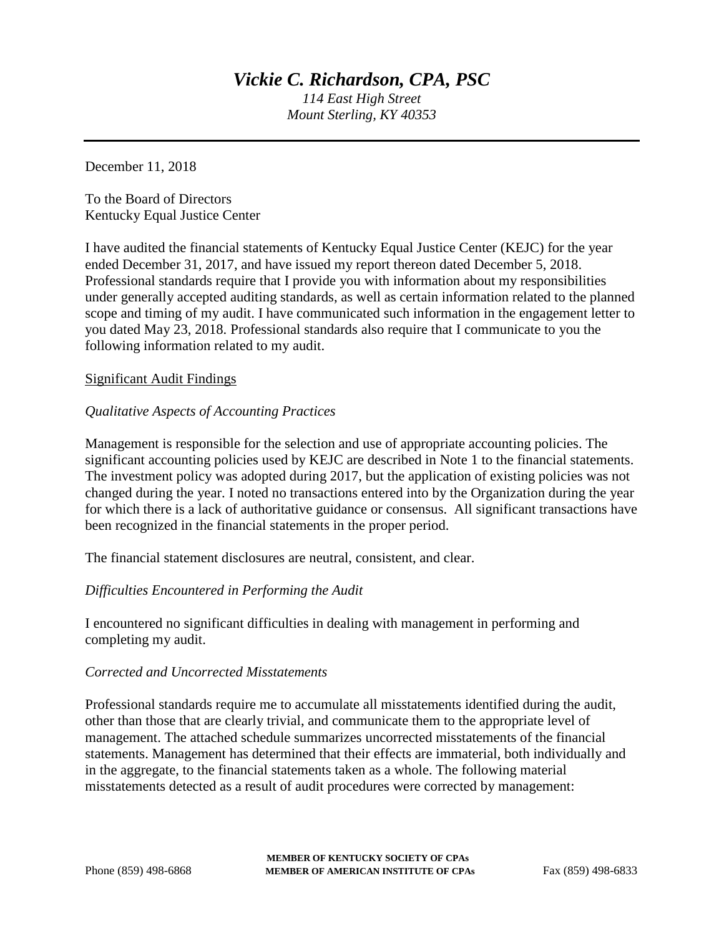*114 East High Street Mount Sterling, KY 40353*

December 11, 2018

To the Board of Directors Kentucky Equal Justice Center

I have audited the financial statements of Kentucky Equal Justice Center (KEJC) for the year ended December 31, 2017, and have issued my report thereon dated December 5, 2018. Professional standards require that I provide you with information about my responsibilities under generally accepted auditing standards, as well as certain information related to the planned scope and timing of my audit. I have communicated such information in the engagement letter to you dated May 23, 2018. Professional standards also require that I communicate to you the following information related to my audit.

# Significant Audit Findings

# *Qualitative Aspects of Accounting Practices*

Management is responsible for the selection and use of appropriate accounting policies. The significant accounting policies used by KEJC are described in Note 1 to the financial statements. The investment policy was adopted during 2017, but the application of existing policies was not changed during the year. I noted no transactions entered into by the Organization during the year for which there is a lack of authoritative guidance or consensus. All significant transactions have been recognized in the financial statements in the proper period.

The financial statement disclosures are neutral, consistent, and clear.

# *Difficulties Encountered in Performing the Audit*

I encountered no significant difficulties in dealing with management in performing and completing my audit.

# *Corrected and Uncorrected Misstatements*

Professional standards require me to accumulate all misstatements identified during the audit, other than those that are clearly trivial, and communicate them to the appropriate level of management. The attached schedule summarizes uncorrected misstatements of the financial statements. Management has determined that their effects are immaterial, both individually and in the aggregate, to the financial statements taken as a whole. The following material misstatements detected as a result of audit procedures were corrected by management: